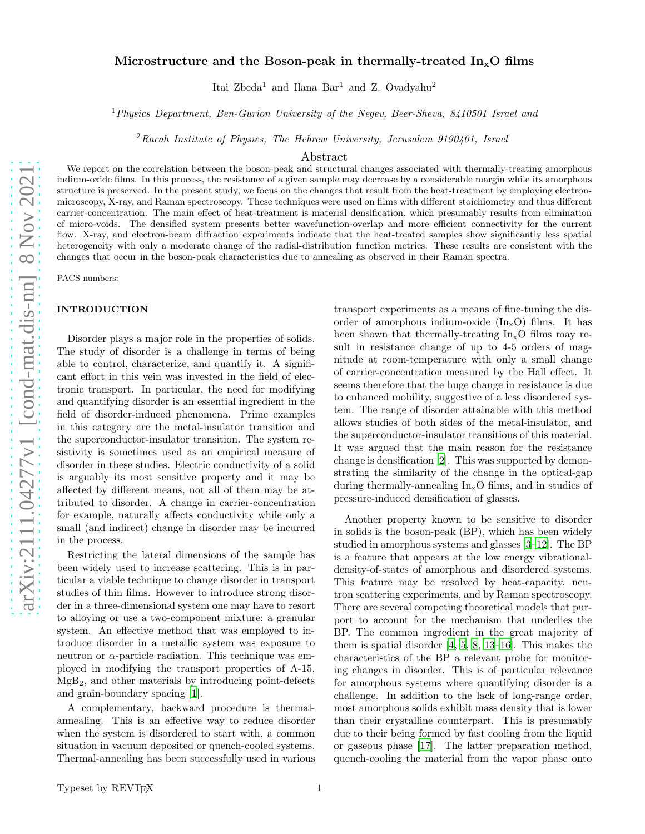# Microstructure and the Boson-peak in thermally-treated  $In_xO$  films

Itai Zbeda<sup>1</sup> and Ilana Bar<sup>1</sup> and Z. Ovadyahu<sup>2</sup>

<sup>1</sup>Physics Department, Ben-Gurion University of the Negev, Beer-Sheva, 8410501 Israel and

 $2$ Racah Institute of Physics, The Hebrew University, Jerusalem 9190401, Israel

## Abstract

We report on the correlation between the boson-peak and structural changes associated with thermally-treating amorphous indium-oxide films. In this process, the resistance of a given sample may decrease by a considerable margin while its amorphous structure is preserved. In the present study, we focus on the changes that result from the heat-treatment by employing electronmicroscopy, X-ray, and Raman spectroscopy. These techniques were used on films with different stoichiometry and thus different carrier-concentration. The main effect of heat-treatment is material densification, which presumably results from elimination of micro-voids. The densified system presents better wavefunction-overlap and more efficient connectivity for the current flow. X-ray, and electron-beam diffraction experiments indicate that the heat-treated samples show significantly less spatial heterogeneity with only a moderate change of the radial-distribution function metrics. These results are consistent with the changes that occur in the boson-peak characteristics due to annealing as observed in their Raman spectra.

PACS numbers:

#### INTRODUCTION

Disorder plays a major role in the properties of solids. The study of disorder is a challenge in terms of being able to control, characterize, and quantify it. A significant effort in this vein was invested in the field of electronic transport. In particular, the need for modifying and quantifying disorder is an essential ingredient in the field of disorder-induced phenomena. Prime examples in this category are the metal-insulator transition and the superconductor-insulator transition. The system resistivity is sometimes used as an empirical measure of disorder in these studies. Electric conductivity of a solid is arguably its most sensitive property and it may be affected by different means, not all of them may be attributed to disorder. A change in carrier-concentration for example, naturally affects conductivity while only a small (and indirect) change in disorder may be incurred in the process.

Restricting the lateral dimensions of the sample has been widely used to increase scattering. This is in particular a viable technique to change disorder in transport studies of thin films. However to introduce strong disorder in a three-dimensional system one may have to resort to alloying or use a two-component mixture; a granular system. An effective method that was employed to introduce disorder in a metallic system was exposure to neutron or  $\alpha$ -particle radiation. This technique was employed in modifying the transport properties of A-15,  $MgB<sub>2</sub>$ , and other materials by introducing point-defects and grain-boundary spacing [\[1\]](#page-7-0).

A complementary, backward procedure is thermalannealing. This is an effective way to reduce disorder when the system is disordered to start with, a common situation in vacuum deposited or quench-cooled systems. Thermal-annealing has been successfully used in various transport experiments as a means of fine-tuning the disorder of amorphous indium-oxide  $(\text{In}_x \text{O})$  films. It has been shown that thermally-treating  $In_xO$  films may result in resistance change of up to 4-5 orders of magnitude at room-temperature with only a small change of carrier-concentration measured by the Hall effect. It seems therefore that the huge change in resistance is due to enhanced mobility, suggestive of a less disordered system. The range of disorder attainable with this method allows studies of both sides of the metal-insulator, and the superconductor-insulator transitions of this material. It was argued that the main reason for the resistance change is densification [\[2](#page-7-1)]. This was supported by demonstrating the similarity of the change in the optical-gap during thermally-annealing  $\text{In}_{\text{x}}\text{O}$  films, and in studies of pressure-induced densification of glasses.

Another property known to be sensitive to disorder in solids is the boson-peak (BP), which has been widely studied in amorphous systems and glasses [\[3](#page-7-2)[–12](#page-7-3)]. The BP is a feature that appears at the low energy vibrationaldensity-of-states of amorphous and disordered systems. This feature may be resolved by heat-capacity, neutron scattering experiments, and by Raman spectroscopy. There are several competing theoretical models that purport to account for the mechanism that underlies the BP. The common ingredient in the great majority of them is spatial disorder [\[4](#page-7-4), [5,](#page-7-5) [8,](#page-7-6) [13](#page-7-7)[–16\]](#page-7-8). This makes the characteristics of the BP a relevant probe for monitoring changes in disorder. This is of particular relevance for amorphous systems where quantifying disorder is a challenge. In addition to the lack of long-range order, most amorphous solids exhibit mass density that is lower than their crystalline counterpart. This is presumably due to their being formed by fast cooling from the liquid or gaseous phase [\[17\]](#page-7-9). The latter preparation method, quench-cooling the material from the vapor phase onto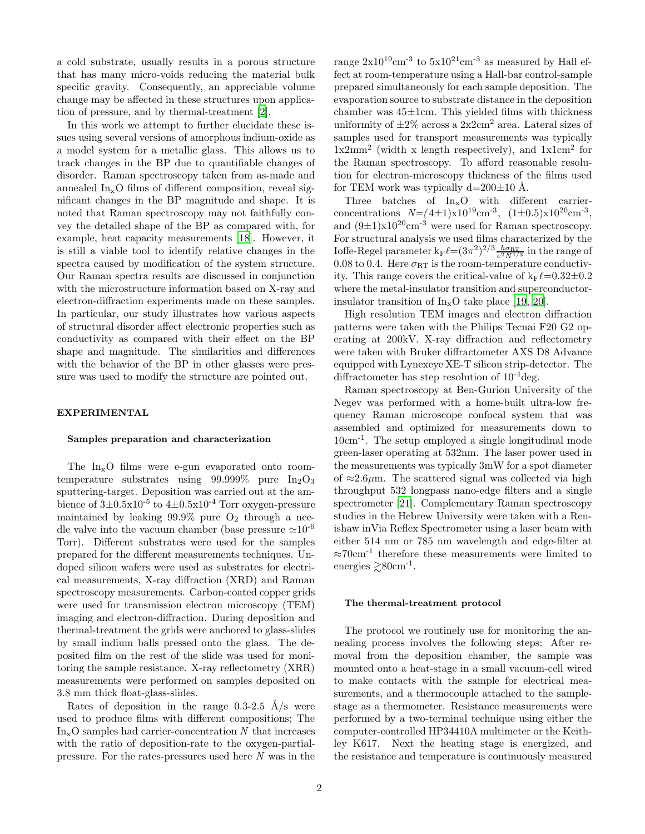a cold substrate, usually results in a porous structure that has many micro-voids reducing the material bulk specific gravity. Consequently, an appreciable volume change may be affected in these structures upon application of pressure, and by thermal-treatment [\[2\]](#page-7-1).

In this work we attempt to further elucidate these issues using several versions of amorphous indium-oxide as a model system for a metallic glass. This allows us to track changes in the BP due to quantifiable changes of disorder. Raman spectroscopy taken from as-made and annealed  $\text{In}_x\text{O}$  films of different composition, reveal significant changes in the BP magnitude and shape. It is noted that Raman spectroscopy may not faithfully convey the detailed shape of the BP as compared with, for example, heat capacity measurements [\[18](#page-7-10)]. However, it is still a viable tool to identify relative changes in the spectra caused by modification of the system structure. Our Raman spectra results are discussed in conjunction with the microstructure information based on X-ray and electron-diffraction experiments made on these samples. In particular, our study illustrates how various aspects of structural disorder affect electronic properties such as conductivity as compared with their effect on the BP shape and magnitude. The similarities and differences with the behavior of the BP in other glasses were pressure was used to modify the structure are pointed out.

### EXPERIMENTAL

### Samples preparation and characterization

The  $In_{x}O$  films were e-gun evaporated onto roomtemperature substrates using  $99.999\%$  pure  $In_2O_3$ sputtering-target. Deposition was carried out at the ambience of  $3\pm0.5x10^{-5}$  to  $4\pm0.5x10^{-4}$  Torr oxygen-pressure maintained by leaking  $99.9\%$  pure  $O_2$  through a needle valve into the vacuum chamber (base pressure  $\simeq 10^{-6}$ Torr). Different substrates were used for the samples prepared for the different measurements techniques. Undoped silicon wafers were used as substrates for electrical measurements, X-ray diffraction (XRD) and Raman spectroscopy measurements. Carbon-coated copper grids were used for transmission electron microscopy (TEM) imaging and electron-diffraction. During deposition and thermal-treatment the grids were anchored to glass-slides by small indium balls pressed onto the glass. The deposited film on the rest of the slide was used for monitoring the sample resistance. X-ray reflectometry (XRR) measurements were performed on samples deposited on 3.8 mm thick float-glass-slides.

Rates of deposition in the range  $0.3{\text -}2.5$  Å/s were used to produce films with different compositions; The  $In_{x}$ O samples had carrier-concentration N that increases with the ratio of deposition-rate to the oxygen-partialpressure. For the rates-pressures used here N was in the range  $2x10^{19}cm^{-3}$  to  $5x10^{21}cm^{-3}$  as measured by Hall effect at room-temperature using a Hall-bar control-sample prepared simultaneously for each sample deposition. The evaporation source to substrate distance in the deposition chamber was 45±1cm. This yielded films with thickness uniformity of  $\pm 2\%$  across a  $2x2 \text{cm}^2$  area. Lateral sizes of samples used for transport measurements was typically 1x2mm<sup>2</sup> (width x length respectively), and 1x1cm<sup>2</sup> for the Raman spectroscopy. To afford reasonable resolution for electron-microscopy thickness of the films used for TEM work was typically  $d=200\pm10$  Å.

Three batches of  $In_xO$  with different carrierconcentrations  $N = (4 \pm 1) \times 10^{19} \text{cm}^{-3}$ ,  $(1 \pm 0.5) \times 10^{20} \text{cm}^{-3}$ , and  $(9\pm1)x10^{20}$ cm<sup>-3</sup> were used for Raman spectroscopy. For structural analysis we used films characterized by the Ioffe-Regel parameter  $k_F \ell = (3\pi^2)^{2/3} \frac{\hbar \sigma_{RT}}{e^2 N^{1/3}}$  in the range of 0.08 to 0.4. Here  $\sigma_{RT}$  is the room-temperature conductivity. This range covers the critical-value of  $k_F \ell = 0.32 \pm 0.2$ where the metal-insulator transition and superconductorinsulator transition of  $In_xO$  take place [\[19](#page-7-11), [20](#page-7-12)].

High resolution TEM images and electron diffraction patterns were taken with the Philips Tecnai F20 G2 operating at 200kV. X-ray diffraction and reflectometry were taken with Bruker diffractometer AXS D8 Advance equipped with Lynexeye XE-T silicon strip-detector. The diffractometer has step resolution of  $10^{-4}$ deg.

Raman spectroscopy at Ben-Gurion University of the Negev was performed with a home-built ultra-low frequency Raman microscope confocal system that was assembled and optimized for measurements down to 10cm-1. The setup employed a single longitudinal mode green-laser operating at 532nm. The laser power used in the measurements was typically 3mW for a spot diameter of  $\approx 2.6 \mu$ m. The scattered signal was collected via high throughput 532 longpass nano-edge filters and a single spectrometer [\[21\]](#page-7-13). Complementary Raman spectroscopy studies in the Hebrew University were taken with a Renishaw inVia Reflex Spectrometer using a laser beam with either 514 nm or 785 nm wavelength and edge-filter at ≈70cm-1 therefore these measurements were limited to energies  $\gtrsim$ 80cm<sup>-1</sup>.

### The thermal-treatment protocol

The protocol we routinely use for monitoring the annealing process involves the following steps: After removal from the deposition chamber, the sample was mounted onto a heat-stage in a small vacuum-cell wired to make contacts with the sample for electrical measurements, and a thermocouple attached to the samplestage as a thermometer. Resistance measurements were performed by a two-terminal technique using either the computer-controlled HP34410A multimeter or the Keithley K617. Next the heating stage is energized, and the resistance and temperature is continuously measured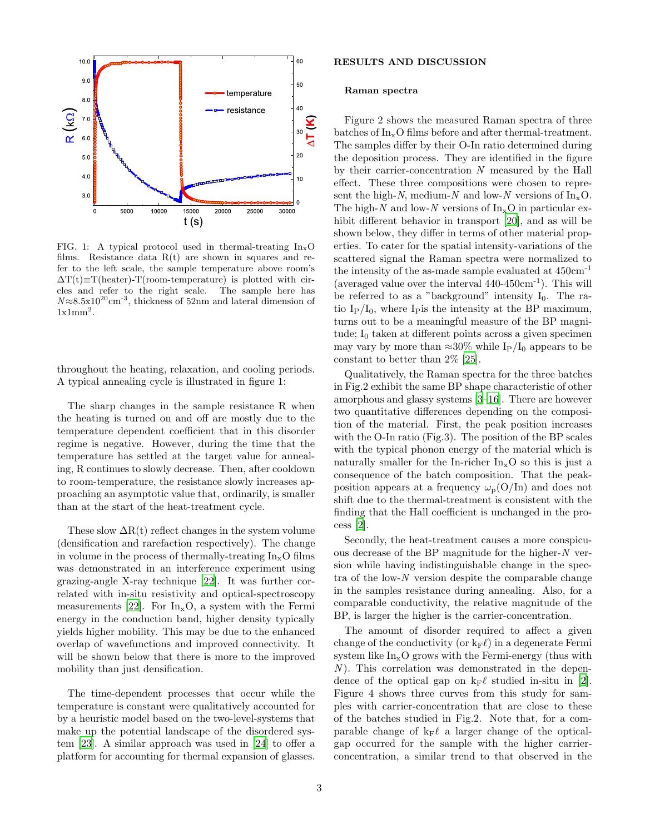

FIG. 1: A typical protocol used in thermal-treating  $\text{In}_{x}$ O films. Resistance data  $R(t)$  are shown in squares and refer to the left scale, the sample temperature above room's  $\Delta T(t) \equiv T(\text{heater})-T(\text{room-temperature})$  is plotted with circles and refer to the right scale. The sample here has  $N \approx 8.5 \times 10^{20}$  cm<sup>-3</sup>, thickness of 52nm and lateral dimension of  $1x1mm<sup>2</sup>$ .

throughout the heating, relaxation, and cooling periods. A typical annealing cycle is illustrated in figure 1:

The sharp changes in the sample resistance R when the heating is turned on and off are mostly due to the temperature dependent coefficient that in this disorder regime is negative. However, during the time that the temperature has settled at the target value for annealing, R continues to slowly decrease. Then, after cooldown to room-temperature, the resistance slowly increases approaching an asymptotic value that, ordinarily, is smaller than at the start of the heat-treatment cycle.

These slow  $\Delta R(t)$  reflect changes in the system volume (densification and rarefaction respectively). The change in volume in the process of thermally-treating  $In_xO$  films was demonstrated in an interference experiment using grazing-angle X-ray technique [\[22](#page-7-14)]. It was further correlated with in-situ resistivity and optical-spectroscopy measurements [\[22\]](#page-7-14). For  $In_xO$ , a system with the Fermi energy in the conduction band, higher density typically yields higher mobility. This may be due to the enhanced overlap of wavefunctions and improved connectivity. It will be shown below that there is more to the improved mobility than just densification.

The time-dependent processes that occur while the temperature is constant were qualitatively accounted for by a heuristic model based on the two-level-systems that make up the potential landscape of the disordered system [\[23](#page-7-15)]. A similar approach was used in [\[24\]](#page-8-0) to offer a platform for accounting for thermal expansion of glasses.

### RESULTS AND DISCUSSION

### Raman spectra

Figure 2 shows the measured Raman spectra of three batches of  $In_xO$  films before and after thermal-treatment. The samples differ by their O-In ratio determined during the deposition process. They are identified in the figure by their carrier-concentration N measured by the Hall effect. These three compositions were chosen to represent the high-N, medium-N and low-N versions of  $\text{In}_{\text{x}}\text{O}$ . The high-N and low-N versions of  $\text{In}_{x}O$  in particular exhibit different behavior in transport [\[20](#page-7-12)], and as will be shown below, they differ in terms of other material properties. To cater for the spatial intensity-variations of the scattered signal the Raman spectra were normalized to the intensity of the as-made sample evaluated at 450cm-1 (averaged value over the interval  $440-450 \text{cm}^{-1}$ ). This will be referred to as a "background" intensity  $I_0$ . The ratio  $I_P/I_0$ , where I<sub>P</sub> is the intensity at the BP maximum, turns out to be a meaningful measure of the BP magnitude;  $I_0$  taken at different points across a given specimen may vary by more than  $\approx 30\%$  while I<sub>P</sub>/I<sub>0</sub> appears to be constant to better than 2% [\[25\]](#page-8-1).

Qualitatively, the Raman spectra for the three batches in Fig.2 exhibit the same BP shape characteristic of other amorphous and glassy systems [\[3](#page-7-2)[–16\]](#page-7-8). There are however two quantitative differences depending on the composition of the material. First, the peak position increases with the O-In ratio (Fig.3). The position of the BP scales with the typical phonon energy of the material which is naturally smaller for the In-richer  $In_xO$  so this is just a consequence of the batch composition. That the peakposition appears at a frequency  $\omega_p(O/\text{In})$  and does not shift due to the thermal-treatment is consistent with the finding that the Hall coefficient is unchanged in the process [\[2\]](#page-7-1).

Secondly, the heat-treatment causes a more conspicuous decrease of the BP magnitude for the higher-N version while having indistinguishable change in the spectra of the low- $N$  version despite the comparable change in the samples resistance during annealing. Also, for a comparable conductivity, the relative magnitude of the BP, is larger the higher is the carrier-concentration.

The amount of disorder required to affect a given change of the conductivity (or  $k_F \ell$ ) in a degenerate Fermi system like  $In_xO$  grows with the Fermi-energy (thus with  $N$ ). This correlation was demonstrated in the dependence of the optical gap on  $k_F \ell$  studied in-situ in [\[2\]](#page-7-1). Figure 4 shows three curves from this study for samples with carrier-concentration that are close to these of the batches studied in Fig.2. Note that, for a comparable change of  $k_F \ell$  a larger change of the opticalgap occurred for the sample with the higher carrierconcentration, a similar trend to that observed in the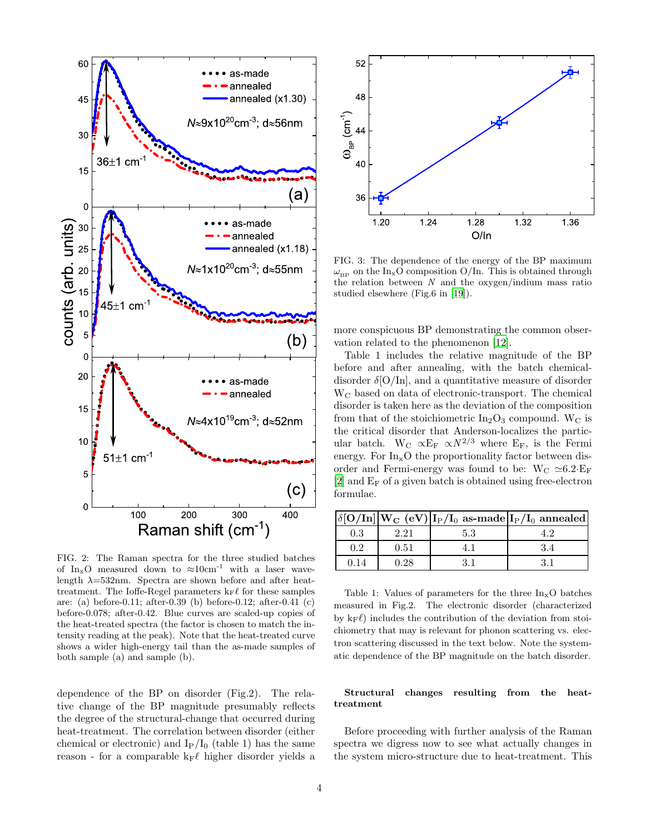

FIG. 2: The Raman spectra for the three studied batches of In<sub>x</sub>O measured down to  $\approx 10$ cm<sup>-1</sup> with a laser wavelength  $\lambda = 532$ nm. Spectra are shown before and after heattreatment. The Ioffe-Regel parameters  $k_F \ell$  for these samples are: (a) before-0.11; after-0.39 (b) before-0.12; after-0.41 (c) before-0.078; after-0.42. Blue curves are scaled-up copies of the heat-treated spectra (the factor is chosen to match the intensity reading at the peak). Note that the heat-treated curve shows a wider high-energy tail than the as-made samples of both sample (a) and sample (b).

dependence of the BP on disorder (Fig.2). The relative change of the BP magnitude presumably reflects the degree of the structural-change that occurred during heat-treatment. The correlation between disorder (either chemical or electronic) and  $I_P/I_0$  (table 1) has the same reason - for a comparable  $k_F \ell$  higher disorder yields a



FIG. 3: The dependence of the energy of the BP maximum  $\omega_{\text{BP}}$  on the In<sub>x</sub>O composition O/In. This is obtained through the relation between  $N$  and the oxygen/indium mass ratio studied elsewhere (Fig.6 in [\[19\]](#page-7-11)).

more conspicuous BP demonstrating the common observation related to the phenomenon [\[12\]](#page-7-3).

Table 1 includes the relative magnitude of the BP before and after annealing, with the batch chemicaldisorder  $\delta$ [O/In], and a quantitative measure of disorder W<sup>C</sup> based on data of electronic-transport. The chemical disorder is taken here as the deviation of the composition from that of the stoichiometric  $In_2O_3$  compound. W<sub>C</sub> is the critical disorder that Anderson-localizes the particular batch. W<sub>C</sub>  $\propto$ E<sub>F</sub>  $\propto$ N<sup>2/3</sup> where E<sub>F</sub>, is the Fermi energy. For  $In_xO$  the proportionality factor between disorder and Fermi-energy was found to be:  $W_C \approx 6.2 \cdot E_F$ [\[2\]](#page-7-1) and E<sup>F</sup> of a given batch is obtained using free-electron formulae.

|      |      |     | $ \delta O/In  W_C (eV)  I_P/I_0$ as-made $ I_P/I_0$ annealed |
|------|------|-----|---------------------------------------------------------------|
| 0.3  | 2.21 | 5.3 |                                                               |
| 0.2  | 0.51 |     | 3.4                                                           |
| በ 14 | 0.28 |     |                                                               |

Table 1: Values of parameters for the three  $In_xO$  batches measured in Fig.2. The electronic disorder (characterized by  $k_F \ell$ ) includes the contribution of the deviation from stoichiometry that may is relevant for phonon scattering vs. electron scattering discussed in the text below. Note the systematic dependence of the BP magnitude on the batch disorder.

## Structural changes resulting from the heattreatment

Before proceeding with further analysis of the Raman spectra we digress now to see what actually changes in the system micro-structure due to heat-treatment. This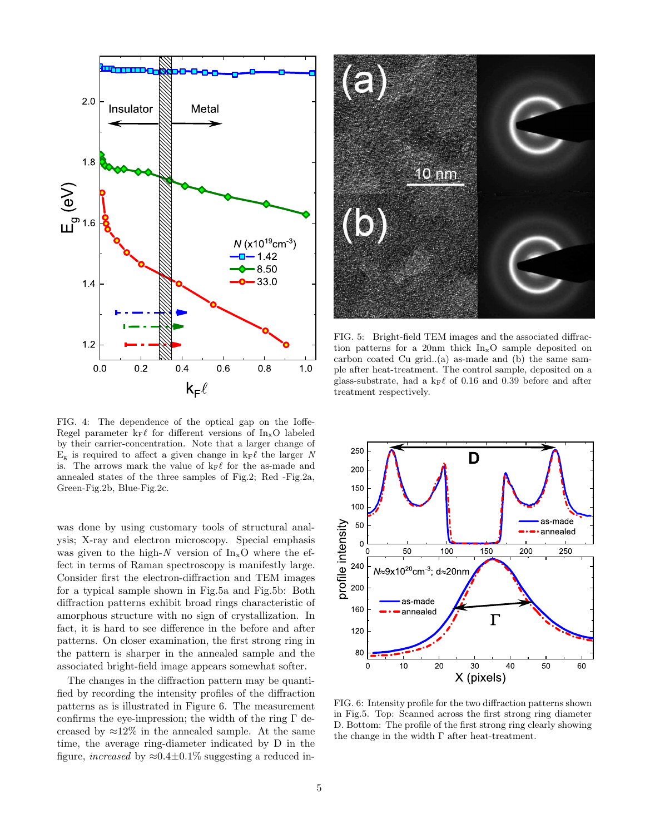

FIG. 4: The dependence of the optical gap on the Ioffe-Regel parameter  $k_F \ell$  for different versions of  $In_xO$  labeled by their carrier-concentration. Note that a larger change of  $E<sub>g</sub>$  is required to affect a given change in  $k_F \ell$  the larger N is. The arrows mark the value of  $k_F \ell$  for the as-made and annealed states of the three samples of Fig.2; Red -Fig.2a, Green-Fig.2b, Blue-Fig.2c.

was done by using customary tools of structural analysis; X-ray and electron microscopy. Special emphasis was given to the high-N version of  $\text{In}_x\text{O}$  where the effect in terms of Raman spectroscopy is manifestly large. Consider first the electron-diffraction and TEM images for a typical sample shown in Fig.5a and Fig.5b: Both diffraction patterns exhibit broad rings characteristic of amorphous structure with no sign of crystallization. In fact, it is hard to see difference in the before and after patterns. On closer examination, the first strong ring in the pattern is sharper in the annealed sample and the associated bright-field image appears somewhat softer.

The changes in the diffraction pattern may be quantified by recording the intensity profiles of the diffraction patterns as is illustrated in Figure 6. The measurement confirms the eye-impression; the width of the ring  $\Gamma$  decreased by  $\approx 12\%$  in the annealed sample. At the same time, the average ring-diameter indicated by D in the figure, increased by  $\approx 0.4 \pm 0.1\%$  suggesting a reduced in-



FIG. 5: Bright-field TEM images and the associated diffraction patterns for a 20nm thick  $In_xO$  sample deposited on carbon coated Cu grid..(a) as-made and (b) the same sample after heat-treatment. The control sample, deposited on a glass-substrate, had a  $k_F \ell$  of 0.16 and 0.39 before and after treatment respectively.



FIG. 6: Intensity profile for the two diffraction patterns shown in Fig.5. Top: Scanned across the first strong ring diameter D. Bottom: The profile of the first strong ring clearly showing the change in the width Γ after heat-treatment.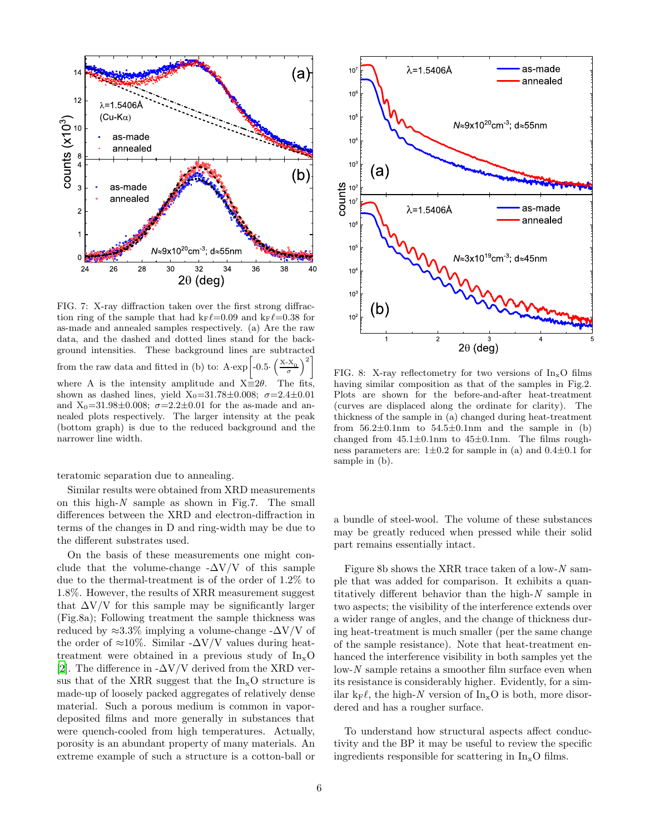

FIG. 7: X-ray diffraction taken over the first strong diffraction ring of the sample that had  $k_F \ell = 0.09$  and  $k_F \ell = 0.38$  for as-made and annealed samples respectively. (a) Are the raw data, and the dashed and dotted lines stand for the background intensities. These background lines are subtracted from the raw data and fitted in (b) to: A·exp  $-0.5 \cdot \left(\frac{X-X_0}{\sigma}\right)^2$ where A is the intensity amplitude and  $X\equiv 2\theta$ . The fits, shown as dashed lines, yield  $X_0=31.78\pm0.008$ ;  $\sigma=2.4\pm0.01$ and  $X_0 = 31.98 \pm 0.008$ ;  $\sigma = 2.2 \pm 0.01$  for the as-made and annealed plots respectively. The larger intensity at the peak (bottom graph) is due to the reduced background and the narrower line width.

teratomic separation due to annealing.

Similar results were obtained from XRD measurements on this high- $N$  sample as shown in Fig.7. The small differences between the XRD and electron-diffraction in terms of the changes in D and ring-width may be due to the different substrates used.

On the basis of these measurements one might conclude that the volume-change  $-\Delta V/V$  of this sample due to the thermal-treatment is of the order of 1.2% to 1.8%. However, the results of XRR measurement suggest that  $\Delta V/V$  for this sample may be significantly larger (Fig.8a); Following treatment the sample thickness was reduced by  $\approx 3.3\%$  implying a volume-change - $\Delta V/V$  of the order of  $\approx 10\%$ . Similar -∆V/V values during heattreatment were obtained in a previous study of  $In_xO$ [\[2\]](#page-7-1). The difference in  $-\Delta V/V$  derived from the XRD versus that of the XRR suggest that the  $In_{x}O$  structure is made-up of loosely packed aggregates of relatively dense material. Such a porous medium is common in vapordeposited films and more generally in substances that were quench-cooled from high temperatures. Actually, porosity is an abundant property of many materials. An extreme example of such a structure is a cotton-ball or



FIG. 8: X-ray reflectometry for two versions of  $\text{In}_{\mathbf{x}}\text{O}$  films having similar composition as that of the samples in Fig.2. Plots are shown for the before-and-after heat-treatment (curves are displaced along the ordinate for clarity). The thickness of the sample in (a) changed during heat-treatment from  $56.2 \pm 0.1$ nm to  $54.5 \pm 0.1$ nm and the sample in (b) changed from  $45.1\pm0.1$ nm to  $45\pm0.1$ nm. The films roughness parameters are:  $1\pm0.2$  for sample in (a) and  $0.4\pm0.1$  for sample in (b).

a bundle of steel-wool. The volume of these substances may be greatly reduced when pressed while their solid part remains essentially intact.

Figure 8b shows the XRR trace taken of a low- $N$  sample that was added for comparison. It exhibits a quantitatively different behavior than the high-N sample in two aspects; the visibility of the interference extends over a wider range of angles, and the change of thickness during heat-treatment is much smaller (per the same change of the sample resistance). Note that heat-treatment enhanced the interference visibility in both samples yet the  $low-N$  sample retains a smoother film surface even when its resistance is considerably higher. Evidently, for a similar k<sub>F</sub> $\ell$ , the high-N version of In<sub>x</sub>O is both, more disordered and has a rougher surface.

To understand how structural aspects affect conductivity and the BP it may be useful to review the specific ingredients responsible for scattering in  $\text{In}_{\mathbf{x}}\text{O}$  films.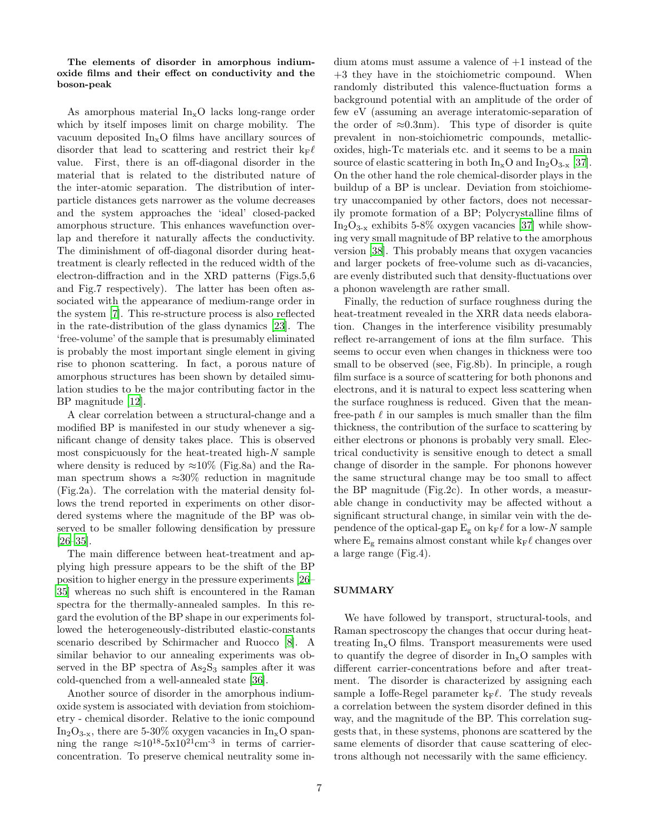## The elements of disorder in amorphous indiumoxide films and their effect on conductivity and the boson-peak

As amorphous material  $In_xO$  lacks long-range order which by itself imposes limit on charge mobility. The vacuum deposited  $\text{In}_{\text{x}}\text{O}$  films have ancillary sources of disorder that lead to scattering and restrict their  $k_F \ell$ value. First, there is an off-diagonal disorder in the material that is related to the distributed nature of the inter-atomic separation. The distribution of interparticle distances gets narrower as the volume decreases and the system approaches the 'ideal' closed-packed amorphous structure. This enhances wavefunction overlap and therefore it naturally affects the conductivity. The diminishment of off-diagonal disorder during heattreatment is clearly reflected in the reduced width of the electron-diffraction and in the XRD patterns (Figs.5,6 and Fig.7 respectively). The latter has been often associated with the appearance of medium-range order in the system [\[7\]](#page-7-16). This re-structure process is also reflected in the rate-distribution of the glass dynamics [\[23](#page-7-15)]. The 'free-volume' of the sample that is presumably eliminated is probably the most important single element in giving rise to phonon scattering. In fact, a porous nature of amorphous structures has been shown by detailed simulation studies to be the major contributing factor in the BP magnitude [\[12](#page-7-3)].

A clear correlation between a structural-change and a modified BP is manifested in our study whenever a significant change of density takes place. This is observed most conspicuously for the heat-treated high-N sample where density is reduced by  $\approx 10\%$  (Fig.8a) and the Raman spectrum shows a  $\approx 30\%$  reduction in magnitude (Fig.2a). The correlation with the material density follows the trend reported in experiments on other disordered systems where the magnitude of the BP was observed to be smaller following densification by pressure [\[26](#page-8-2)[–35\]](#page-8-3).

The main difference between heat-treatment and applying high pressure appears to be the shift of the BP position to higher energy in the pressure experiments [\[26](#page-8-2)– [35\]](#page-8-3) whereas no such shift is encountered in the Raman spectra for the thermally-annealed samples. In this regard the evolution of the BP shape in our experiments followed the heterogeneously-distributed elastic-constants scenario described by Schirmacher and Ruocco [\[8\]](#page-7-6). A similar behavior to our annealing experiments was observed in the BP spectra of  $\text{As}_2\text{S}_3$  samples after it was cold-quenched from a well-annealed state [\[36\]](#page-8-4).

Another source of disorder in the amorphous indiumoxide system is associated with deviation from stoichiometry - chemical disorder. Relative to the ionic compound  $In_2O_{3-x}$ , there are 5-30% oxygen vacancies in  $In_xO$  spanning the range  $\approx 10^{18}$ -5x10<sup>21</sup>cm<sup>-3</sup> in terms of carrierconcentration. To preserve chemical neutrality some indium atoms must assume a valence of +1 instead of the +3 they have in the stoichiometric compound. When randomly distributed this valence-fluctuation forms a background potential with an amplitude of the order of few eV (assuming an average interatomic-separation of the order of  $\approx 0.3$ nm). This type of disorder is quite prevalent in non-stoichiometric compounds, metallicoxides, high-Tc materials etc. and it seems to be a main source of elastic scattering in both  $In_xO$  and  $In_2O_{3-x}$  [\[37\]](#page-8-5). On the other hand the role chemical-disorder plays in the buildup of a BP is unclear. Deviation from stoichiometry unaccompanied by other factors, does not necessarily promote formation of a BP; Polycrystalline films of  $In_2O_{3-x}$  exhibits 5-8% oxygen vacancies [\[37](#page-8-5)] while showing very small magnitude of BP relative to the amorphous version [\[38](#page-8-6)]. This probably means that oxygen vacancies and larger pockets of free-volume such as di-vacancies, are evenly distributed such that density-fluctuations over a phonon wavelength are rather small.

Finally, the reduction of surface roughness during the heat-treatment revealed in the XRR data needs elaboration. Changes in the interference visibility presumably reflect re-arrangement of ions at the film surface. This seems to occur even when changes in thickness were too small to be observed (see, Fig.8b). In principle, a rough film surface is a source of scattering for both phonons and electrons, and it is natural to expect less scattering when the surface roughness is reduced. Given that the meanfree-path  $\ell$  in our samples is much smaller than the film thickness, the contribution of the surface to scattering by either electrons or phonons is probably very small. Electrical conductivity is sensitive enough to detect a small change of disorder in the sample. For phonons however the same structural change may be too small to affect the BP magnitude (Fig.2c). In other words, a measurable change in conductivity may be affected without a significant structural change, in similar vein with the dependence of the optical-gap  $E_g$  on  $k_F \ell$  for a low-N sample where  $E_g$  remains almost constant while  $k_F \ell$  changes over a large range (Fig.4).

## SUMMARY

We have followed by transport, structural-tools, and Raman spectroscopy the changes that occur during heattreating  $In_xO$  films. Transport measurements were used to quantify the degree of disorder in  $In_xO$  samples with different carrier-concentrations before and after treatment. The disorder is characterized by assigning each sample a Ioffe-Regel parameter  $k_F \ell$ . The study reveals a correlation between the system disorder defined in this way, and the magnitude of the BP. This correlation suggests that, in these systems, phonons are scattered by the same elements of disorder that cause scattering of electrons although not necessarily with the same efficiency.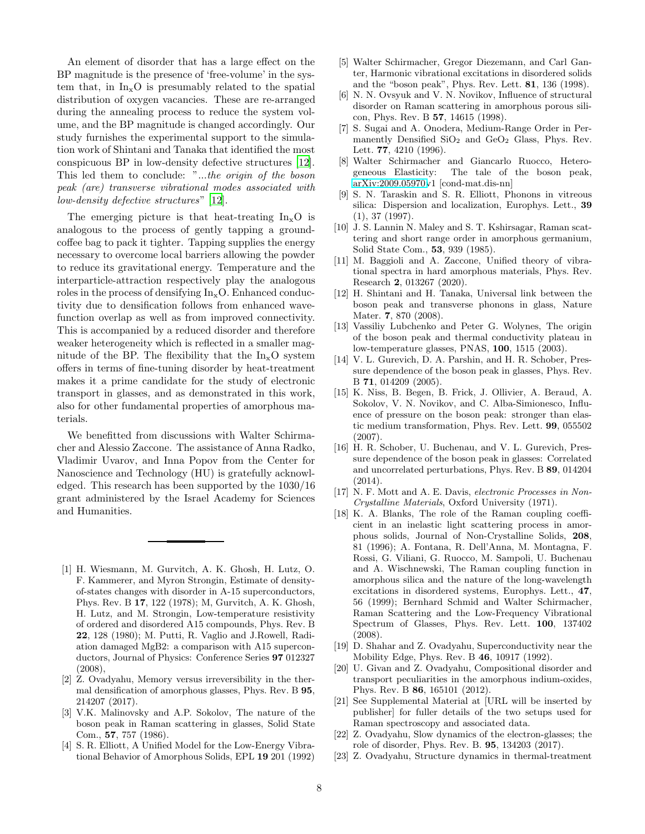An element of disorder that has a large effect on the BP magnitude is the presence of 'free-volume' in the system that, in  $In_xO$  is presumably related to the spatial distribution of oxygen vacancies. These are re-arranged during the annealing process to reduce the system volume, and the BP magnitude is changed accordingly. Our study furnishes the experimental support to the simulation work of Shintani and Tanaka that identified the most conspicuous BP in low-density defective structures [\[12\]](#page-7-3). This led them to conclude: "...the origin of the boson peak (are) transverse vibrational modes associated with low-density defective structures" [\[12\]](#page-7-3).

The emerging picture is that heat-treating  $In_xO$  is analogous to the process of gently tapping a groundcoffee bag to pack it tighter. Tapping supplies the energy necessary to overcome local barriers allowing the powder to reduce its gravitational energy. Temperature and the interparticle-attraction respectively play the analogous roles in the process of densifying  $In_xO$ . Enhanced conductivity due to densification follows from enhanced wavefunction overlap as well as from improved connectivity. This is accompanied by a reduced disorder and therefore weaker heterogeneity which is reflected in a smaller magnitude of the BP. The flexibility that the  $In_xO$  system offers in terms of fine-tuning disorder by heat-treatment makes it a prime candidate for the study of electronic transport in glasses, and as demonstrated in this work, also for other fundamental properties of amorphous materials.

We benefitted from discussions with Walter Schirmacher and Alessio Zaccone. The assistance of Anna Radko, Vladimir Uvarov, and Inna Popov from the Center for Nanoscience and Technology (HU) is gratefully acknowledged. This research has been supported by the 1030/16 grant administered by the Israel Academy for Sciences and Humanities.

- <span id="page-7-0"></span>[1] H. Wiesmann, M. Gurvitch, A. K. Ghosh, H. Lutz, O. F. Kammerer, and Myron Strongin, Estimate of densityof-states changes with disorder in A-15 superconductors, Phys. Rev. B 17, 122 (1978); M, Gurvitch, A. K. Ghosh, H. Lutz, and M. Strongin, Low-temperature resistivity of ordered and disordered A15 compounds, Phys. Rev. B 22, 128 (1980); M. Putti, R. Vaglio and J.Rowell, Radiation damaged MgB2: a comparison with A15 superconductors, Journal of Physics: Conference Series 97 012327 (2008),
- <span id="page-7-1"></span>[2] Z. Ovadyahu, Memory versus irreversibility in the thermal densification of amorphous glasses, Phys. Rev. B 95, 214207 (2017).
- <span id="page-7-2"></span>[3] V.K. Malinovsky and A.P. Sokolov, The nature of the boson peak in Raman scattering in glasses, Solid State Com., 57, 757 (1986).
- <span id="page-7-4"></span>[4] S. R. Elliott, A Unified Model for the Low-Energy Vibrational Behavior of Amorphous Solids, EPL 19 201 (1992)
- <span id="page-7-5"></span>[5] Walter Schirmacher, Gregor Diezemann, and Carl Ganter, Harmonic vibrational excitations in disordered solids and the "boson peak", Phys. Rev. Lett. 81, 136 (1998).
- [6] N. N. Ovsyuk and V. N. Novikov, Influence of structural disorder on Raman scattering in amorphous porous silicon, Phys. Rev. B 57, 14615 (1998).
- <span id="page-7-16"></span>[7] S. Sugai and A. Onodera, Medium-Range Order in Permanently Densified  $SiO<sub>2</sub>$  and  $GeO<sub>2</sub>$  Glass, Phys. Rev. Lett. 77, 4210 (1996).
- <span id="page-7-6"></span>[8] Walter Schirmacher and Giancarlo Ruocco, Hetero-The tale of the boson peak, [arXiv:2009.05970v](http://arxiv.org/abs/2009.05970)1 [cond-mat.dis-nn]
- [9] S. N. Taraskin and S. R. Elliott, Phonons in vitreous silica: Dispersion and localization, Europhys. Lett., 39 (1), 37 (1997).
- [10] J. S. Lannin N. Maley and S. T. Kshirsagar, Raman scattering and short range order in amorphous germanium, Solid State Com., 53, 939 (1985).
- [11] M. Baggioli and A. Zaccone, Unified theory of vibrational spectra in hard amorphous materials, Phys. Rev. Research 2, 013267 (2020).
- <span id="page-7-3"></span>[12] H. Shintani and H. Tanaka, Universal link between the boson peak and transverse phonons in glass, Nature Mater. **7**, 870 (2008).
- <span id="page-7-7"></span>[13] Vassiliy Lubchenko and Peter G. Wolynes, The origin of the boson peak and thermal conductivity plateau in low-temperature glasses, PNAS, 100, 1515 (2003).
- [14] V. L. Gurevich, D. A. Parshin, and H. R. Schober, Pressure dependence of the boson peak in glasses, Phys. Rev. B 71, 014209 (2005).
- [15] K. Niss, B. Begen, B. Frick, J. Ollivier, A. Beraud, A. Sokolov, V. N. Novikov, and C. Alba-Simionesco, Influence of pressure on the boson peak: stronger than elastic medium transformation, Phys. Rev. Lett. 99, 055502 (2007).
- <span id="page-7-8"></span>[16] H. R. Schober, U. Buchenau, and V. L. Gurevich, Pressure dependence of the boson peak in glasses: Correlated and uncorrelated perturbations, Phys. Rev. B 89, 014204  $(2014)$ .
- <span id="page-7-9"></span>[17] N. F. Mott and A. E. Davis, electronic Processes in Non-Crystalline Materials, Oxford University (1971).
- <span id="page-7-10"></span>[18] K. A. Blanks, The role of the Raman coupling coefficient in an inelastic light scattering process in amorphous solids, Journal of Non-Crystalline Solids, 208, 81 (1996); A. Fontana, R. Dell'Anna, M. Montagna, F. Rossi, G. Viliani, G. Ruocco, M. Sampoli, U. Buchenau and A. Wischnewski, The Raman coupling function in amorphous silica and the nature of the long-wavelength excitations in disordered systems, Europhys. Lett., 47, 56 (1999); Bernhard Schmid and Walter Schirmacher, Raman Scattering and the Low-Frequency Vibrational Spectrum of Glasses, Phys. Rev. Lett. 100, 137402 (2008).
- <span id="page-7-11"></span>[19] D. Shahar and Z. Ovadyahu, Superconductivity near the Mobility Edge, Phys. Rev. B 46, 10917 (1992).
- <span id="page-7-12"></span>[20] U. Givan and Z. Ovadyahu, Compositional disorder and transport peculiarities in the amorphous indium-oxides, Phys. Rev. B 86, 165101 (2012).
- <span id="page-7-13"></span>[21] See Supplemental Material at [URL will be inserted by publisher] for fuller details of the two setups used for Raman spectroscopy and associated data.
- <span id="page-7-14"></span>[22] Z. Ovadyahu, Slow dynamics of the electron-glasses; the role of disorder, Phys. Rev. B. 95, 134203 (2017).
- <span id="page-7-15"></span>[23] Z. Ovadyahu, Structure dynamics in thermal-treatment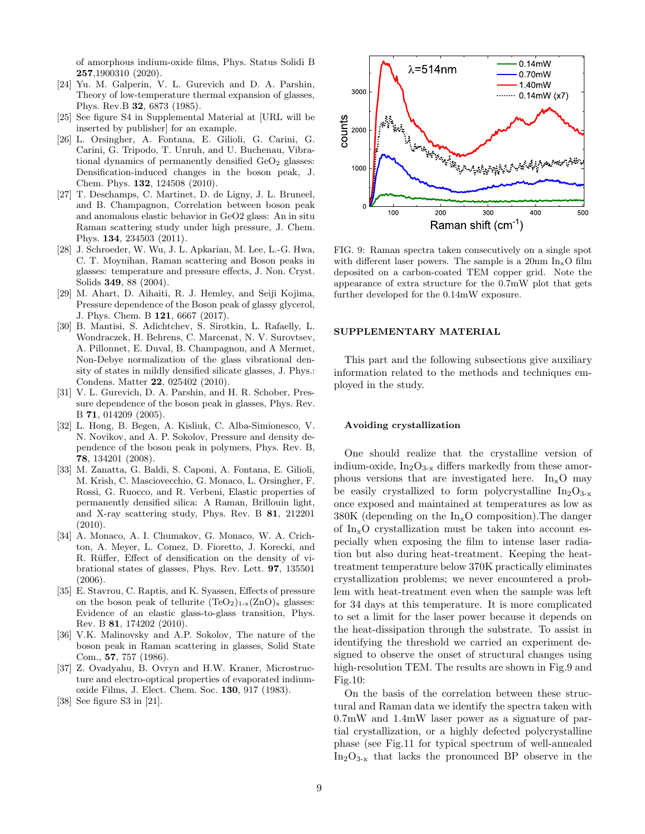of amorphous indium-oxide films, Phys. Status Solidi B 257,1900310 (2020).

- <span id="page-8-0"></span>[24] Yu. M. Galperin, V. L. Gurevich and D. A. Parshin, Theory of low-temperature thermal expansion of glasses, Phys. Rev.B 32, 6873 (1985).
- <span id="page-8-1"></span>[25] See figure S4 in Supplemental Material at [URL will be inserted by publisher] for an example.
- <span id="page-8-2"></span>[26] L. Orsingher, A. Fontana, E. Gilioli, G. Carini, G. Carini, G. Tripodo, T. Unruh, and U. Buchenau, Vibrational dynamics of permanently densified  $GeO<sub>2</sub>$  glasses: Densification-induced changes in the boson peak, J. Chem. Phys. 132, 124508 (2010).
- [27] T. Deschamps, C. Martinet, D. de Ligny, J. L. Bruneel, and B. Champagnon, Correlation between boson peak and anomalous elastic behavior in GeO2 glass: An in situ Raman scattering study under high pressure, J. Chem. Phys. 134, 234503 (2011).
- [28] J. Schroeder, W. Wu, J. L. Apkarian, M. Lee, L.-G. Hwa, C. T. Moynihan, Raman scattering and Boson peaks in glasses: temperature and pressure effects, J. Non. Cryst. Solids 349, 88 (2004).
- [29] M. Ahart, D. Aihaiti, R. J. Hemley, and Seiji Kojima, Pressure dependence of the Boson peak of glassy glycerol, J. Phys. Chem. B 121, 6667 (2017).
- [30] B. Mantisi, S. Adichtchev, S. Sirotkin, L. Rafaelly, L. Wondraczek, H. Behrens, C. Marcenat, N. V. Surovtsev, A. Pillonnet, E. Duval, B. Champagnon, and A Mermet, Non-Debye normalization of the glass vibrational density of states in mildly densified silicate glasses, J. Phys.: Condens. Matter 22, 025402 (2010).
- [31] V. L. Gurevich, D. A. Parshin, and H. R. Schober, Pressure dependence of the boson peak in glasses, Phys. Rev. B 71, 014209 (2005).
- [32] L. Hong, B. Begen, A. Kisliuk, C. Alba-Simionesco, V. N. Novikov, and A. P. Sokolov, Pressure and density dependence of the boson peak in polymers, Phys. Rev. B, 78, 134201 (2008).
- [33] M. Zanatta, G. Baldi, S. Caponi, A. Fontana, E. Gilioli, M. Krish, C. Masciovecchio, G. Monaco, L. Orsingher, F. Rossi, G. Ruocco, and R. Verbeni, Elastic properties of permanently densified silica: A Raman, Brillouin light, and X-ray scattering study, Phys. Rev. B 81, 212201 (2010).
- [34] A. Monaco, A. I. Chumakov, G. Monaco, W. A. Crichton, A. Meyer, L. Comez, D. Fioretto, J. Korecki, and R. Rüffer, Effect of densification on the density of vibrational states of glasses, Phys. Rev. Lett. 97, 135501 (2006).
- <span id="page-8-3"></span>[35] E. Stavrou, C. Raptis, and K. Syassen, Effects of pressure on the boson peak of tellurite  $(TeO<sub>2</sub>)<sub>1-x</sub>(ZnO)<sub>x</sub>$  glasses: Evidence of an elastic glass-to-glass transition, Phys. Rev. B 81, 174202 (2010).
- <span id="page-8-4"></span>[36] V.K. Malinovsky and A.P. Sokolov, The nature of the boson peak in Raman scattering in glasses, Solid State Com., 57, 757 (1986).
- <span id="page-8-5"></span>[37] Z. Ovadyahu, B. Ovryn and H.W. Kraner, Microstructure and electro-optical properties of evaporated indiumoxide Films, J. Elect. Chem. Soc. 130, 917 (1983).
- <span id="page-8-6"></span>[38] See figure S3 in [21].



FIG. 9: Raman spectra taken consecutively on a single spot with different laser powers. The sample is a  $20 \text{nm}$  In<sub>x</sub>O film deposited on a carbon-coated TEM copper grid. Note the appearance of extra structure for the 0.7mW plot that gets further developed for the 0.14mW exposure.

## SUPPLEMENTARY MATERIAL

This part and the following subsections give auxiliary information related to the methods and techniques employed in the study.

### Avoiding crystallization

One should realize that the crystalline version of indium-oxide,  $In_2O_{3-x}$  differs markedly from these amorphous versions that are investigated here.  $In_xO$  may be easily crystallized to form polycrystalline  $In_2O_{3-x}$ once exposed and maintained at temperatures as low as  $380K$  (depending on the  $In_xO$  composition). The danger of  $\text{In}_{x}$ O crystallization must be taken into account especially when exposing the film to intense laser radiation but also during heat-treatment. Keeping the heattreatment temperature below 370K practically eliminates crystallization problems; we never encountered a problem with heat-treatment even when the sample was left for 34 days at this temperature. It is more complicated to set a limit for the laser power because it depends on the heat-dissipation through the substrate. To assist in identifying the threshold we carried an experiment designed to observe the onset of structural changes using high-resolution TEM. The results are shown in Fig.9 and Fig.10:

On the basis of the correlation between these structural and Raman data we identify the spectra taken with 0.7mW and 1.4mW laser power as a signature of partial crystallization, or a highly defected polycrystalline phase (see Fig.11 for typical spectrum of well-annealed  $In_2O_{3-x}$  that lacks the pronounced BP observe in the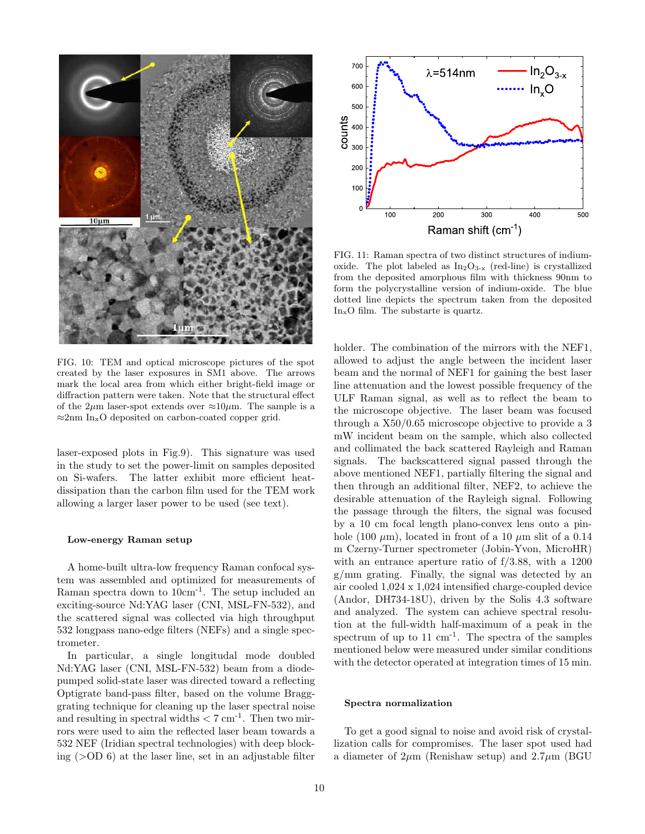

FIG. 10: TEM and optical microscope pictures of the spot created by the laser exposures in SM1 above. The arrows mark the local area from which either bright-field image or diffraction pattern were taken. Note that the structural effect of the 2 $\mu$ m laser-spot extends over  $\approx 10 \mu$ m. The sample is a ≈2nm InxO deposited on carbon-coated copper grid.

laser-exposed plots in Fig.9). This signature was used in the study to set the power-limit on samples deposited on Si-wafers. The latter exhibit more efficient heatdissipation than the carbon film used for the TEM work allowing a larger laser power to be used (see text).

#### Low-energy Raman setup

A home-built ultra-low frequency Raman confocal system was assembled and optimized for measurements of Raman spectra down to 10cm-1. The setup included an exciting-source Nd:YAG laser (CNI, MSL-FN-532), and the scattered signal was collected via high throughput 532 longpass nano-edge filters (NEFs) and a single spectrometer.

In particular, a single longitudal mode doubled Nd:YAG laser (CNI, MSL-FN-532) beam from a diodepumped solid-state laser was directed toward a reflecting Optigrate band-pass filter, based on the volume Bragggrating technique for cleaning up the laser spectral noise and resulting in spectral widths  $<$  7 cm<sup>-1</sup>. Then two mirrors were used to aim the reflected laser beam towards a 532 NEF (Iridian spectral technologies) with deep blocking  $(50D\ 6)$  at the laser line, set in an adjustable filter



FIG. 11: Raman spectra of two distinct structures of indiumoxide. The plot labeled as  $In_2O_{3-x}$  (red-line) is crystallized from the deposited amorphous film with thickness 90nm to form the polycrystalline version of indium-oxide. The blue dotted line depicts the spectrum taken from the deposited  $In_xO$  film. The substarte is quartz.

holder. The combination of the mirrors with the NEF1, allowed to adjust the angle between the incident laser beam and the normal of NEF1 for gaining the best laser line attenuation and the lowest possible frequency of the ULF Raman signal, as well as to reflect the beam to the microscope objective. The laser beam was focused through a X50/0.65 microscope objective to provide a 3 mW incident beam on the sample, which also collected and collimated the back scattered Rayleigh and Raman signals. The backscattered signal passed through the above mentioned NEF1, partially filtering the signal and then through an additional filter, NEF2, to achieve the desirable attenuation of the Rayleigh signal. Following the passage through the filters, the signal was focused by a 10 cm focal length plano-convex lens onto a pinhole (100  $\mu$ m), located in front of a 10  $\mu$ m slit of a 0.14 m Czerny-Turner spectrometer (Jobin-Yvon, MicroHR) with an entrance aperture ratio of f/3.88, with a 1200 g/mm grating. Finally, the signal was detected by an air cooled 1,024 x 1,024 intensified charge-coupled device (Andor, DH734-18U), driven by the Solis 4.3 software and analyzed. The system can achieve spectral resolution at the full-width half-maximum of a peak in the spectrum of up to  $11 \text{ cm}^{-1}$ . The spectra of the samples mentioned below were measured under similar conditions with the detector operated at integration times of 15 min.

#### Spectra normalization

To get a good signal to noise and avoid risk of crystallization calls for compromises. The laser spot used had a diameter of  $2\mu$ m (Renishaw setup) and  $2.7\mu$ m (BGU)